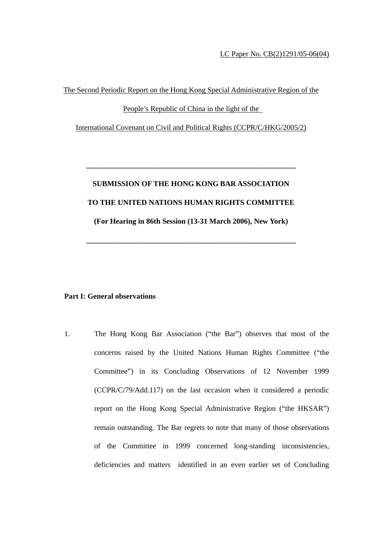The Second Periodic Report on the Hong Kong Special Administrative Region of the

People's Republic of China in the light of the

International Covenant on Civil and Political Rights (CCPR/C/HKG/2005/2)

# **SUBMISSION OF THE HONG KONG BAR ASSOCIATION TO THE UNITED NATIONS HUMAN RIGHTS COMMITTEE (For Hearing in 86th Session (13-31 March 2006), New York)**

**\_\_\_\_\_\_\_\_\_\_\_\_\_\_\_\_\_\_\_\_\_\_\_\_\_\_\_\_\_\_\_\_\_\_\_\_\_\_\_\_\_\_\_\_\_\_\_\_\_\_\_\_\_\_\_\_** 

**\_\_\_\_\_\_\_\_\_\_\_\_\_\_\_\_\_\_\_\_\_\_\_\_\_\_\_\_\_\_\_\_\_\_\_\_\_\_\_\_\_\_\_\_\_\_\_\_\_\_\_\_\_\_\_\_** 

### **Part I: General observations**

1. The Hong Kong Bar Association ("the Bar") observes that most of the concerns raised by the United Nations Human Rights Committee ("the Committee") in its Concluding Observations of 12 November 1999 (CCPR/C/79/Add.117) on the last occasion when it considered a periodic report on the Hong Kong Special Administrative Region ("the HKSAR") remain outstanding. The Bar regrets to note that many of those observations of the Committee in 1999 concerned long-standing inconsistencies, deficiencies and matters identified in an even earlier set of Concluding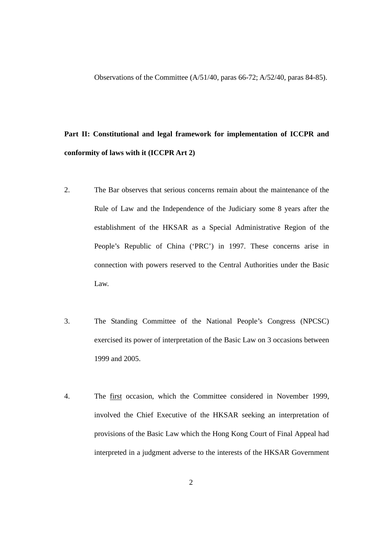Observations of the Committee (A/51/40, paras 66-72; A/52/40, paras 84-85).

### **Part II: Constitutional and legal framework for implementation of ICCPR and conformity of laws with it (ICCPR Art 2)**

- 2. The Bar observes that serious concerns remain about the maintenance of the Rule of Law and the Independence of the Judiciary some 8 years after the establishment of the HKSAR as a Special Administrative Region of the People's Republic of China ('PRC') in 1997. These concerns arise in connection with powers reserved to the Central Authorities under the Basic Law.
- 3. The Standing Committee of the National People's Congress (NPCSC) exercised its power of interpretation of the Basic Law on 3 occasions between 1999 and 2005.
- 4. The first occasion, which the Committee considered in November 1999, involved the Chief Executive of the HKSAR seeking an interpretation of provisions of the Basic Law which the Hong Kong Court of Final Appeal had interpreted in a judgment adverse to the interests of the HKSAR Government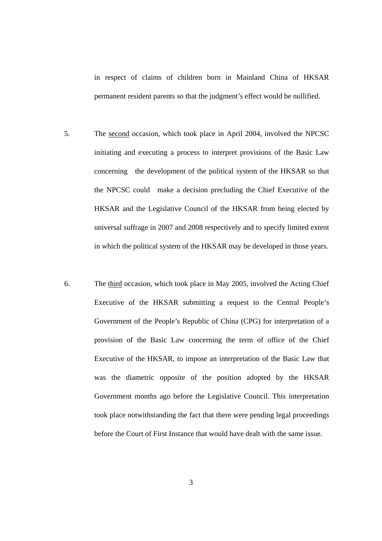in respect of claims of children born in Mainland China of HKSAR permanent resident parents so that the judgment's effect would be nullified.

- 5. The second occasion, which took place in April 2004, involved the NPCSC initiating and executing a process to interpret provisions of the Basic Law concerning the development of the political system of the HKSAR so that the NPCSC could make a decision precluding the Chief Executive of the HKSAR and the Legislative Council of the HKSAR from being elected by universal suffrage in 2007 and 2008 respectively and to specify limited extent in which the political system of the HKSAR may be developed in those years.
- 6. The third occasion, which took place in May 2005, involved the Acting Chief Executive of the HKSAR submitting a request to the Central People's Government of the People's Republic of China (CPG) for interpretation of a provision of the Basic Law concerning the term of office of the Chief Executive of the HKSAR, to impose an interpretation of the Basic Law that was the diametric opposite of the position adopted by the HKSAR Government months ago before the Legislative Council. This interpretation took place notwithstanding the fact that there were pending legal proceedings before the Court of First Instance that would have dealt with the same issue.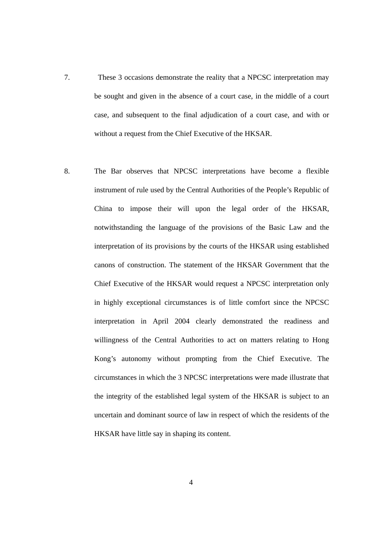- 7. These 3 occasions demonstrate the reality that a NPCSC interpretation may be sought and given in the absence of a court case, in the middle of a court case, and subsequent to the final adjudication of a court case, and with or without a request from the Chief Executive of the HKSAR.
- 8. The Bar observes that NPCSC interpretations have become a flexible instrument of rule used by the Central Authorities of the People's Republic of China to impose their will upon the legal order of the HKSAR, notwithstanding the language of the provisions of the Basic Law and the interpretation of its provisions by the courts of the HKSAR using established canons of construction. The statement of the HKSAR Government that the Chief Executive of the HKSAR would request a NPCSC interpretation only in highly exceptional circumstances is of little comfort since the NPCSC interpretation in April 2004 clearly demonstrated the readiness and willingness of the Central Authorities to act on matters relating to Hong Kong's autonomy without prompting from the Chief Executive. The circumstances in which the 3 NPCSC interpretations were made illustrate that the integrity of the established legal system of the HKSAR is subject to an uncertain and dominant source of law in respect of which the residents of the HKSAR have little say in shaping its content.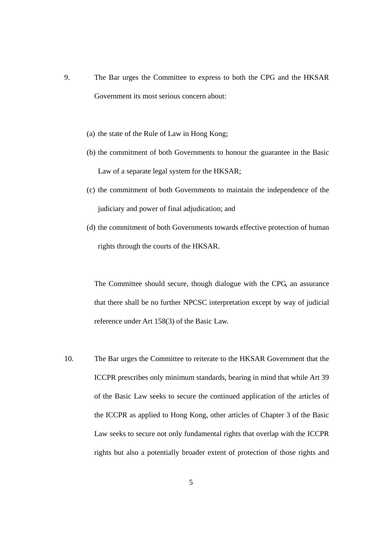- 9. The Bar urges the Committee to express to both the CPG and the HKSAR Government its most serious concern about:
	- (a) the state of the Rule of Law in Hong Kong;
	- (b) the commitment of both Governments to honour the guarantee in the Basic Law of a separate legal system for the HKSAR;
	- (c) the commitment of both Governments to maintain the independence of the judiciary and power of final adjudication; and
	- (d) the commitment of both Governments towards effective protection of human rights through the courts of the HKSAR.

The Committee should secure, though dialogue with the CPG, an assurance that there shall be no further NPCSC interpretation except by way of judicial reference under Art 158(3) of the Basic Law.

10. The Bar urges the Committee to reiterate to the HKSAR Government that the ICCPR prescribes only minimum standards, bearing in mind that while Art 39 of the Basic Law seeks to secure the continued application of the articles of the ICCPR as applied to Hong Kong, other articles of Chapter 3 of the Basic Law seeks to secure not only fundamental rights that overlap with the ICCPR rights but also a potentially broader extent of protection of those rights and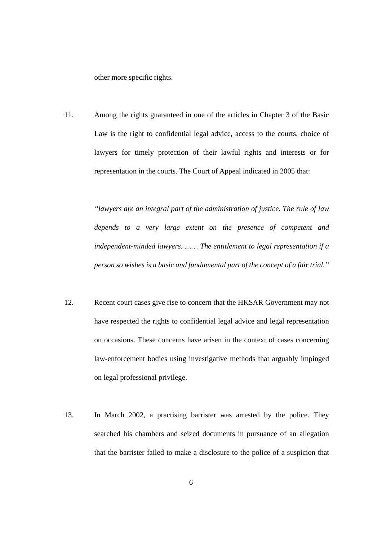other more specific rights.

11. Among the rights guaranteed in one of the articles in Chapter 3 of the Basic Law is the right to confidential legal advice, access to the courts, choice of lawyers for timely protection of their lawful rights and interests or for representation in the courts. The Court of Appeal indicated in 2005 that:

> *"lawyers are an integral part of the administration of justice. The rule of law depends to a very large extent on the presence of competent and independent-minded lawyers. …… The entitlement to legal representation if a person so wishes is a basic and fundamental part of the concept of a fair trial."*

- 12. Recent court cases give rise to concern that the HKSAR Government may not have respected the rights to confidential legal advice and legal representation on occasions. These concerns have arisen in the context of cases concerning law-enforcement bodies using investigative methods that arguably impinged on legal professional privilege.
- 13. In March 2002, a practising barrister was arrested by the police. They searched his chambers and seized documents in pursuance of an allegation that the barrister failed to make a disclosure to the police of a suspicion that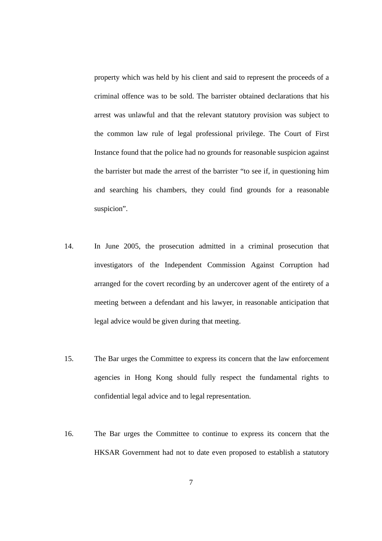property which was held by his client and said to represent the proceeds of a criminal offence was to be sold. The barrister obtained declarations that his arrest was unlawful and that the relevant statutory provision was subject to the common law rule of legal professional privilege. The Court of First Instance found that the police had no grounds for reasonable suspicion against the barrister but made the arrest of the barrister "to see if, in questioning him and searching his chambers, they could find grounds for a reasonable suspicion".

- 14. In June 2005, the prosecution admitted in a criminal prosecution that investigators of the Independent Commission Against Corruption had arranged for the covert recording by an undercover agent of the entirety of a meeting between a defendant and his lawyer, in reasonable anticipation that legal advice would be given during that meeting.
- 15. The Bar urges the Committee to express its concern that the law enforcement agencies in Hong Kong should fully respect the fundamental rights to confidential legal advice and to legal representation.
- 16. The Bar urges the Committee to continue to express its concern that the HKSAR Government had not to date even proposed to establish a statutory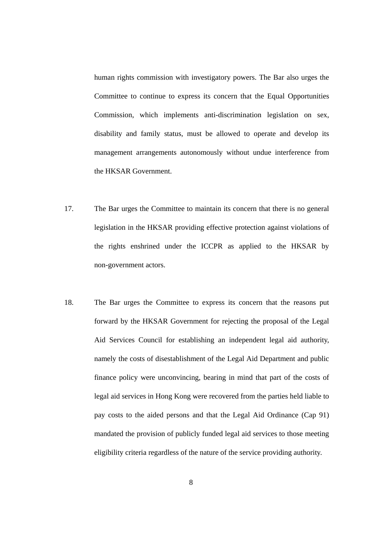human rights commission with investigatory powers. The Bar also urges the Committee to continue to express its concern that the Equal Opportunities Commission, which implements anti-discrimination legislation on sex, disability and family status, must be allowed to operate and develop its management arrangements autonomously without undue interference from the HKSAR Government.

- 17. The Bar urges the Committee to maintain its concern that there is no general legislation in the HKSAR providing effective protection against violations of the rights enshrined under the ICCPR as applied to the HKSAR by non-government actors.
- 18. The Bar urges the Committee to express its concern that the reasons put forward by the HKSAR Government for rejecting the proposal of the Legal Aid Services Council for establishing an independent legal aid authority, namely the costs of disestablishment of the Legal Aid Department and public finance policy were unconvincing, bearing in mind that part of the costs of legal aid services in Hong Kong were recovered from the parties held liable to pay costs to the aided persons and that the Legal Aid Ordinance (Cap 91) mandated the provision of publicly funded legal aid services to those meeting eligibility criteria regardless of the nature of the service providing authority.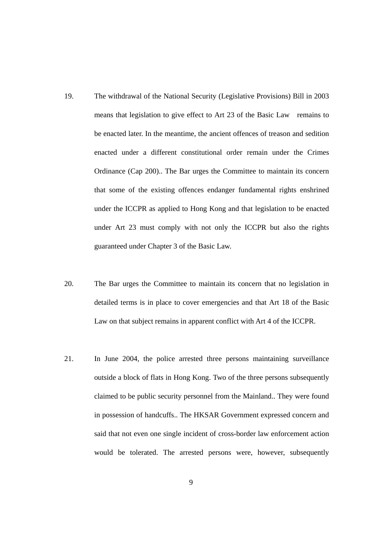- 19. The withdrawal of the National Security (Legislative Provisions) Bill in 2003 means that legislation to give effect to Art 23 of the Basic Law remains to be enacted later. In the meantime, the ancient offences of treason and sedition enacted under a different constitutional order remain under the Crimes Ordinance (Cap 200).. The Bar urges the Committee to maintain its concern that some of the existing offences endanger fundamental rights enshrined under the ICCPR as applied to Hong Kong and that legislation to be enacted under Art 23 must comply with not only the ICCPR but also the rights guaranteed under Chapter 3 of the Basic Law.
- 20. The Bar urges the Committee to maintain its concern that no legislation in detailed terms is in place to cover emergencies and that Art 18 of the Basic Law on that subject remains in apparent conflict with Art 4 of the ICCPR.
- 21. In June 2004, the police arrested three persons maintaining surveillance outside a block of flats in Hong Kong. Two of the three persons subsequently claimed to be public security personnel from the Mainland.. They were found in possession of handcuffs.. The HKSAR Government expressed concern and said that not even one single incident of cross-border law enforcement action would be tolerated. The arrested persons were, however, subsequently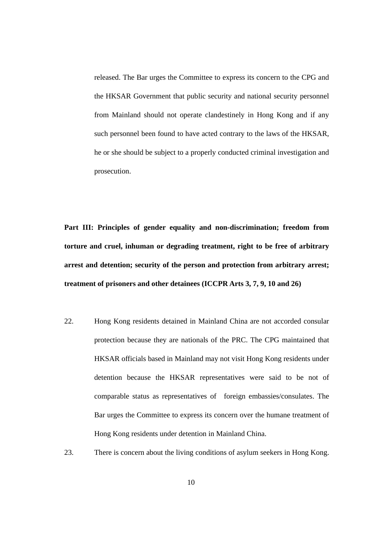released. The Bar urges the Committee to express its concern to the CPG and the HKSAR Government that public security and national security personnel from Mainland should not operate clandestinely in Hong Kong and if any such personnel been found to have acted contrary to the laws of the HKSAR, he or she should be subject to a properly conducted criminal investigation and prosecution.

**Part III: Principles of gender equality and non-discrimination; freedom from torture and cruel, inhuman or degrading treatment, right to be free of arbitrary arrest and detention; security of the person and protection from arbitrary arrest; treatment of prisoners and other detainees (ICCPR Arts 3, 7, 9, 10 and 26)** 

- 22. Hong Kong residents detained in Mainland China are not accorded consular protection because they are nationals of the PRC. The CPG maintained that HKSAR officials based in Mainland may not visit Hong Kong residents under detention because the HKSAR representatives were said to be not of comparable status as representatives of foreign embassies/consulates. The Bar urges the Committee to express its concern over the humane treatment of Hong Kong residents under detention in Mainland China.
- 23. There is concern about the living conditions of asylum seekers in Hong Kong.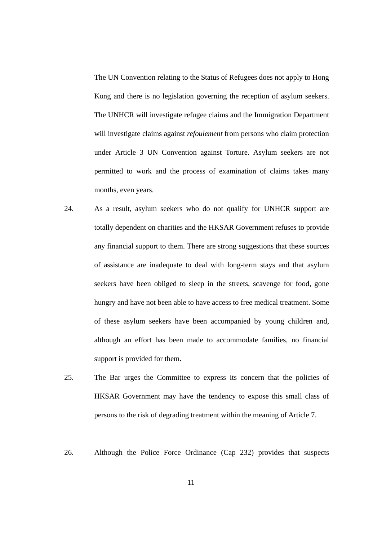The UN Convention relating to the Status of Refugees does not apply to Hong Kong and there is no legislation governing the reception of asylum seekers. The UNHCR will investigate refugee claims and the Immigration Department will investigate claims against *refoulement* from persons who claim protection under Article 3 UN Convention against Torture. Asylum seekers are not permitted to work and the process of examination of claims takes many months, even years.

- 24. As a result, asylum seekers who do not qualify for UNHCR support are totally dependent on charities and the HKSAR Government refuses to provide any financial support to them. There are strong suggestions that these sources of assistance are inadequate to deal with long-term stays and that asylum seekers have been obliged to sleep in the streets, scavenge for food, gone hungry and have not been able to have access to free medical treatment. Some of these asylum seekers have been accompanied by young children and, although an effort has been made to accommodate families, no financial support is provided for them.
- 25. The Bar urges the Committee to express its concern that the policies of HKSAR Government may have the tendency to expose this small class of persons to the risk of degrading treatment within the meaning of Article 7.
- 26. Although the Police Force Ordinance (Cap 232) provides that suspects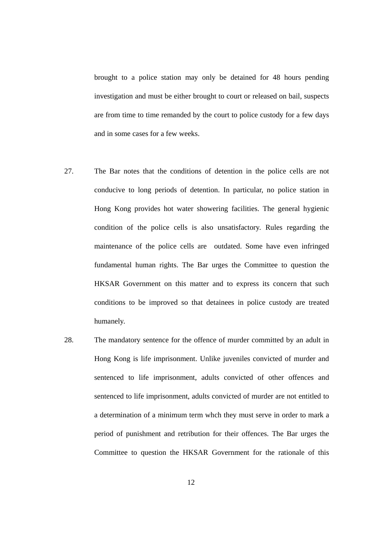brought to a police station may only be detained for 48 hours pending investigation and must be either brought to court or released on bail, suspects are from time to time remanded by the court to police custody for a few days and in some cases for a few weeks.

- 27. The Bar notes that the conditions of detention in the police cells are not conducive to long periods of detention. In particular, no police station in Hong Kong provides hot water showering facilities. The general hygienic condition of the police cells is also unsatisfactory. Rules regarding the maintenance of the police cells are outdated. Some have even infringed fundamental human rights. The Bar urges the Committee to question the HKSAR Government on this matter and to express its concern that such conditions to be improved so that detainees in police custody are treated humanely.
- 28. The mandatory sentence for the offence of murder committed by an adult in Hong Kong is life imprisonment. Unlike juveniles convicted of murder and sentenced to life imprisonment, adults convicted of other offences and sentenced to life imprisonment, adults convicted of murder are not entitled to a determination of a minimum term whch they must serve in order to mark a period of punishment and retribution for their offences. The Bar urges the Committee to question the HKSAR Government for the rationale of this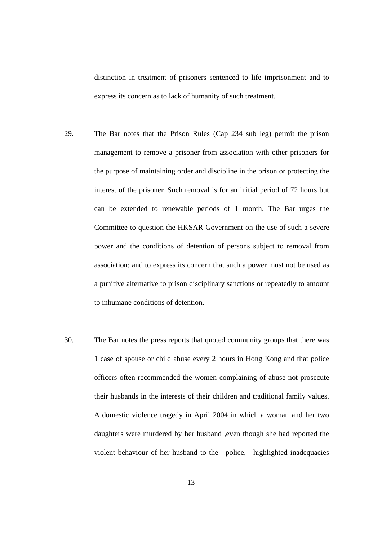distinction in treatment of prisoners sentenced to life imprisonment and to express its concern as to lack of humanity of such treatment.

- 29. The Bar notes that the Prison Rules (Cap 234 sub leg) permit the prison management to remove a prisoner from association with other prisoners for the purpose of maintaining order and discipline in the prison or protecting the interest of the prisoner. Such removal is for an initial period of 72 hours but can be extended to renewable periods of 1 month. The Bar urges the Committee to question the HKSAR Government on the use of such a severe power and the conditions of detention of persons subject to removal from association; and to express its concern that such a power must not be used as a punitive alternative to prison disciplinary sanctions or repeatedly to amount to inhumane conditions of detention.
- 30. The Bar notes the press reports that quoted community groups that there was 1 case of spouse or child abuse every 2 hours in Hong Kong and that police officers often recommended the women complaining of abuse not prosecute their husbands in the interests of their children and traditional family values. A domestic violence tragedy in April 2004 in which a woman and her two daughters were murdered by her husband ,even though she had reported the violent behaviour of her husband to the police, highlighted inadequacies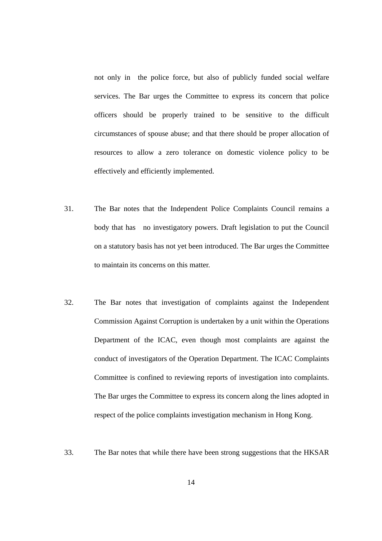not only in the police force, but also of publicly funded social welfare services. The Bar urges the Committee to express its concern that police officers should be properly trained to be sensitive to the difficult circumstances of spouse abuse; and that there should be proper allocation of resources to allow a zero tolerance on domestic violence policy to be effectively and efficiently implemented.

- 31. The Bar notes that the Independent Police Complaints Council remains a body that has no investigatory powers. Draft legislation to put the Council on a statutory basis has not yet been introduced. The Bar urges the Committee to maintain its concerns on this matter.
- 32. The Bar notes that investigation of complaints against the Independent Commission Against Corruption is undertaken by a unit within the Operations Department of the ICAC, even though most complaints are against the conduct of investigators of the Operation Department. The ICAC Complaints Committee is confined to reviewing reports of investigation into complaints. The Bar urges the Committee to express its concern along the lines adopted in respect of the police complaints investigation mechanism in Hong Kong.
- 33. The Bar notes that while there have been strong suggestions that the HKSAR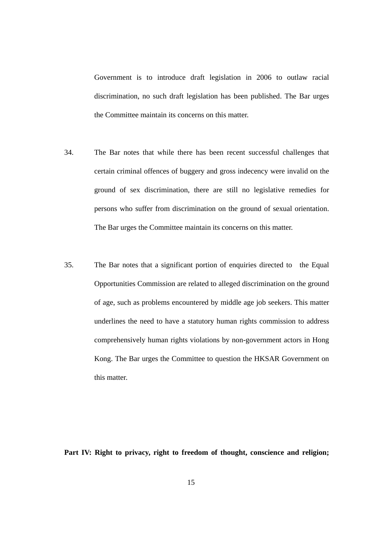Government is to introduce draft legislation in 2006 to outlaw racial discrimination, no such draft legislation has been published. The Bar urges the Committee maintain its concerns on this matter.

- 34. The Bar notes that while there has been recent successful challenges that certain criminal offences of buggery and gross indecency were invalid on the ground of sex discrimination, there are still no legislative remedies for persons who suffer from discrimination on the ground of sexual orientation. The Bar urges the Committee maintain its concerns on this matter.
- 35. The Bar notes that a significant portion of enquiries directed to the Equal Opportunities Commission are related to alleged discrimination on the ground of age, such as problems encountered by middle age job seekers. This matter underlines the need to have a statutory human rights commission to address comprehensively human rights violations by non-government actors in Hong Kong. The Bar urges the Committee to question the HKSAR Government on this matter.

**Part IV: Right to privacy, right to freedom of thought, conscience and religion;**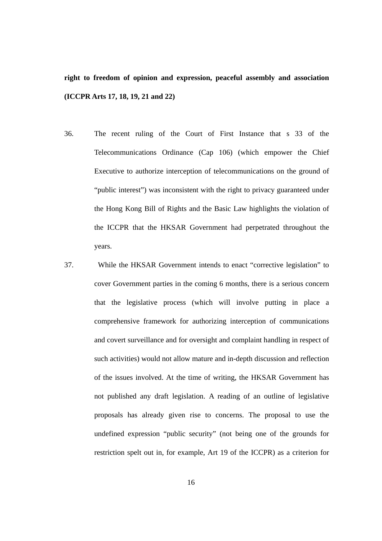**right to freedom of opinion and expression, peaceful assembly and association (ICCPR Arts 17, 18, 19, 21 and 22)** 

- 36. The recent ruling of the Court of First Instance that s 33 of the Telecommunications Ordinance (Cap 106) (which empower the Chief Executive to authorize interception of telecommunications on the ground of "public interest") was inconsistent with the right to privacy guaranteed under the Hong Kong Bill of Rights and the Basic Law highlights the violation of the ICCPR that the HKSAR Government had perpetrated throughout the years.
- 37. While the HKSAR Government intends to enact "corrective legislation" to cover Government parties in the coming 6 months, there is a serious concern that the legislative process (which will involve putting in place a comprehensive framework for authorizing interception of communications and covert surveillance and for oversight and complaint handling in respect of such activities) would not allow mature and in-depth discussion and reflection of the issues involved. At the time of writing, the HKSAR Government has not published any draft legislation. A reading of an outline of legislative proposals has already given rise to concerns. The proposal to use the undefined expression "public security" (not being one of the grounds for restriction spelt out in, for example, Art 19 of the ICCPR) as a criterion for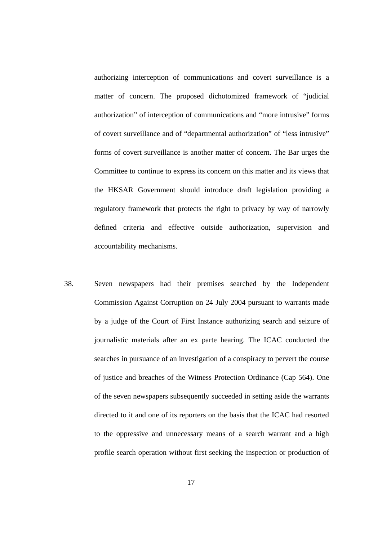authorizing interception of communications and covert surveillance is a matter of concern. The proposed dichotomized framework of "judicial authorization" of interception of communications and "more intrusive" forms of covert surveillance and of "departmental authorization" of "less intrusive" forms of covert surveillance is another matter of concern. The Bar urges the Committee to continue to express its concern on this matter and its views that the HKSAR Government should introduce draft legislation providing a regulatory framework that protects the right to privacy by way of narrowly defined criteria and effective outside authorization, supervision and accountability mechanisms.

38. Seven newspapers had their premises searched by the Independent Commission Against Corruption on 24 July 2004 pursuant to warrants made by a judge of the Court of First Instance authorizing search and seizure of journalistic materials after an ex parte hearing. The ICAC conducted the searches in pursuance of an investigation of a conspiracy to pervert the course of justice and breaches of the Witness Protection Ordinance (Cap 564). One of the seven newspapers subsequently succeeded in setting aside the warrants directed to it and one of its reporters on the basis that the ICAC had resorted to the oppressive and unnecessary means of a search warrant and a high profile search operation without first seeking the inspection or production of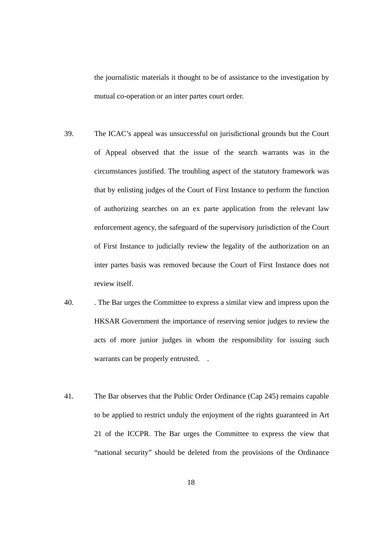the journalistic materials it thought to be of assistance to the investigation by mutual co-operation or an inter partes court order.

- 39. The ICAC's appeal was unsuccessful on jurisdictional grounds but the Court of Appeal observed that the issue of the search warrants was in the circumstances justified. The troubling aspect of the statutory framework was that by enlisting judges of the Court of First Instance to perform the function of authorizing searches on an ex parte application from the relevant law enforcement agency, the safeguard of the supervisory jurisdiction of the Court of First Instance to judicially review the legality of the authorization on an inter partes basis was removed because the Court of First Instance does not review itself.
- 40. . The Bar urges the Committee to express a similar view and impress upon the HKSAR Government the importance of reserving senior judges to review the acts of more junior judges in whom the responsibility for issuing such warrants can be properly entrusted. .
- 41. The Bar observes that the Public Order Ordinance (Cap 245) remains capable to be applied to restrict unduly the enjoyment of the rights guaranteed in Art 21 of the ICCPR. The Bar urges the Committee to express the view that "national security" should be deleted from the provisions of the Ordinance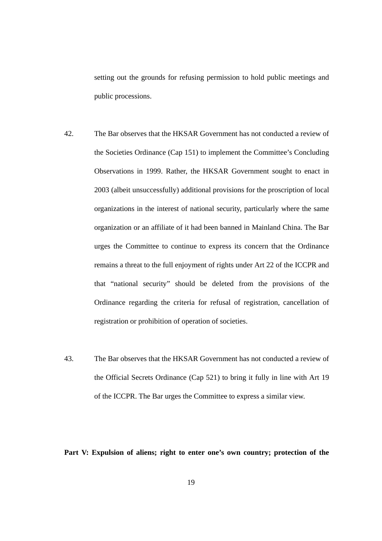setting out the grounds for refusing permission to hold public meetings and public processions.

- 42. The Bar observes that the HKSAR Government has not conducted a review of the Societies Ordinance (Cap 151) to implement the Committee's Concluding Observations in 1999. Rather, the HKSAR Government sought to enact in 2003 (albeit unsuccessfully) additional provisions for the proscription of local organizations in the interest of national security, particularly where the same organization or an affiliate of it had been banned in Mainland China. The Bar urges the Committee to continue to express its concern that the Ordinance remains a threat to the full enjoyment of rights under Art 22 of the ICCPR and that "national security" should be deleted from the provisions of the Ordinance regarding the criteria for refusal of registration, cancellation of registration or prohibition of operation of societies.
- 43. The Bar observes that the HKSAR Government has not conducted a review of the Official Secrets Ordinance (Cap 521) to bring it fully in line with Art 19 of the ICCPR. The Bar urges the Committee to express a similar view.

**Part V: Expulsion of aliens; right to enter one's own country; protection of the**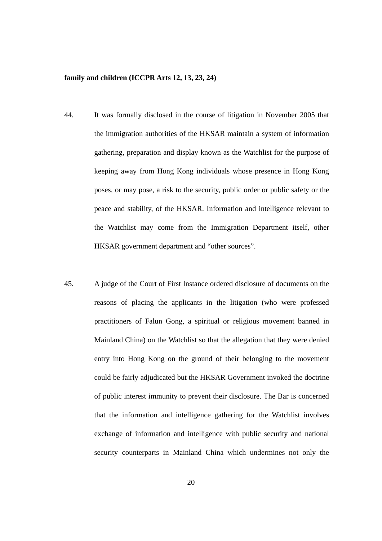#### **family and children (ICCPR Arts 12, 13, 23, 24)**

- 44. It was formally disclosed in the course of litigation in November 2005 that the immigration authorities of the HKSAR maintain a system of information gathering, preparation and display known as the Watchlist for the purpose of keeping away from Hong Kong individuals whose presence in Hong Kong poses, or may pose, a risk to the security, public order or public safety or the peace and stability, of the HKSAR. Information and intelligence relevant to the Watchlist may come from the Immigration Department itself, other HKSAR government department and "other sources".
- 45. A judge of the Court of First Instance ordered disclosure of documents on the reasons of placing the applicants in the litigation (who were professed practitioners of Falun Gong, a spiritual or religious movement banned in Mainland China) on the Watchlist so that the allegation that they were denied entry into Hong Kong on the ground of their belonging to the movement could be fairly adjudicated but the HKSAR Government invoked the doctrine of public interest immunity to prevent their disclosure. The Bar is concerned that the information and intelligence gathering for the Watchlist involves exchange of information and intelligence with public security and national security counterparts in Mainland China which undermines not only the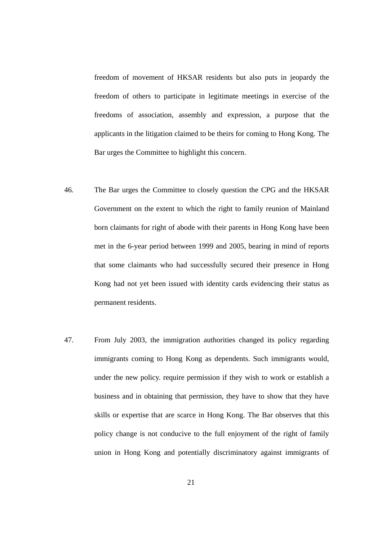freedom of movement of HKSAR residents but also puts in jeopardy the freedom of others to participate in legitimate meetings in exercise of the freedoms of association, assembly and expression, a purpose that the applicants in the litigation claimed to be theirs for coming to Hong Kong. The Bar urges the Committee to highlight this concern.

- 46. The Bar urges the Committee to closely question the CPG and the HKSAR Government on the extent to which the right to family reunion of Mainland born claimants for right of abode with their parents in Hong Kong have been met in the 6-year period between 1999 and 2005, bearing in mind of reports that some claimants who had successfully secured their presence in Hong Kong had not yet been issued with identity cards evidencing their status as permanent residents.
- 47. From July 2003, the immigration authorities changed its policy regarding immigrants coming to Hong Kong as dependents. Such immigrants would, under the new policy. require permission if they wish to work or establish a business and in obtaining that permission, they have to show that they have skills or expertise that are scarce in Hong Kong. The Bar observes that this policy change is not conducive to the full enjoyment of the right of family union in Hong Kong and potentially discriminatory against immigrants of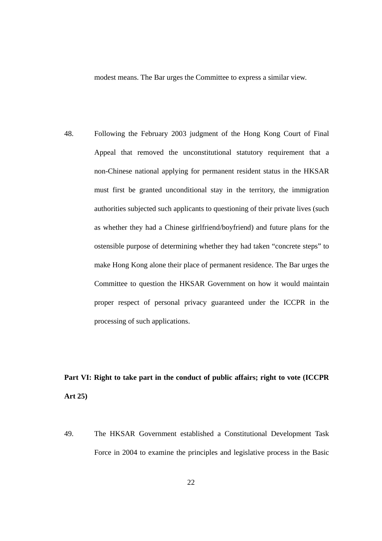modest means. The Bar urges the Committee to express a similar view.

48. Following the February 2003 judgment of the Hong Kong Court of Final Appeal that removed the unconstitutional statutory requirement that a non-Chinese national applying for permanent resident status in the HKSAR must first be granted unconditional stay in the territory, the immigration authorities subjected such applicants to questioning of their private lives (such as whether they had a Chinese girlfriend/boyfriend) and future plans for the ostensible purpose of determining whether they had taken "concrete steps" to make Hong Kong alone their place of permanent residence. The Bar urges the Committee to question the HKSAR Government on how it would maintain proper respect of personal privacy guaranteed under the ICCPR in the processing of such applications.

## **Part VI: Right to take part in the conduct of public affairs; right to vote (ICCPR Art 25)**

49. The HKSAR Government established a Constitutional Development Task Force in 2004 to examine the principles and legislative process in the Basic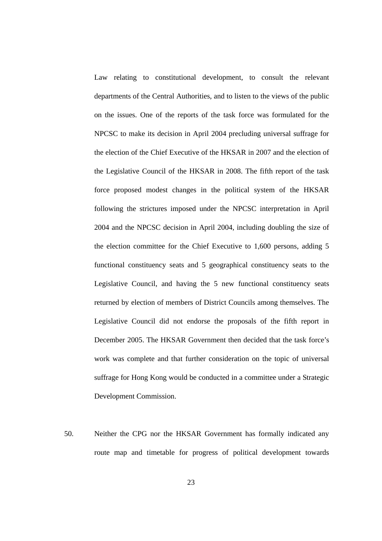Law relating to constitutional development, to consult the relevant departments of the Central Authorities, and to listen to the views of the public on the issues. One of the reports of the task force was formulated for the NPCSC to make its decision in April 2004 precluding universal suffrage for the election of the Chief Executive of the HKSAR in 2007 and the election of the Legislative Council of the HKSAR in 2008. The fifth report of the task force proposed modest changes in the political system of the HKSAR following the strictures imposed under the NPCSC interpretation in April 2004 and the NPCSC decision in April 2004, including doubling the size of the election committee for the Chief Executive to 1,600 persons, adding 5 functional constituency seats and 5 geographical constituency seats to the Legislative Council, and having the 5 new functional constituency seats returned by election of members of District Councils among themselves. The Legislative Council did not endorse the proposals of the fifth report in December 2005. The HKSAR Government then decided that the task force's work was complete and that further consideration on the topic of universal suffrage for Hong Kong would be conducted in a committee under a Strategic Development Commission.

50. Neither the CPG nor the HKSAR Government has formally indicated any route map and timetable for progress of political development towards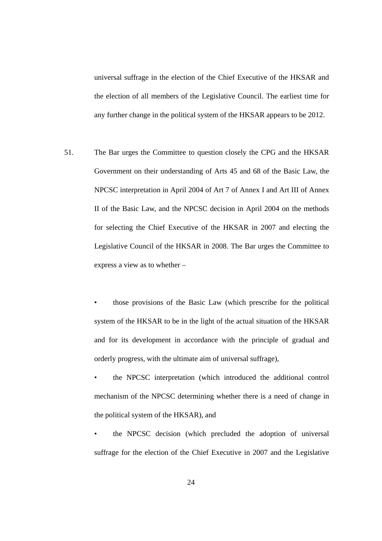universal suffrage in the election of the Chief Executive of the HKSAR and the election of all members of the Legislative Council. The earliest time for any further change in the political system of the HKSAR appears to be 2012.

- 51. The Bar urges the Committee to question closely the CPG and the HKSAR Government on their understanding of Arts 45 and 68 of the Basic Law, the NPCSC interpretation in April 2004 of Art 7 of Annex I and Art III of Annex II of the Basic Law, and the NPCSC decision in April 2004 on the methods for selecting the Chief Executive of the HKSAR in 2007 and electing the Legislative Council of the HKSAR in 2008. The Bar urges the Committee to express a view as to whether –
	- those provisions of the Basic Law (which prescribe for the political system of the HKSAR to be in the light of the actual situation of the HKSAR and for its development in accordance with the principle of gradual and orderly progress, with the ultimate aim of universal suffrage),
	- the NPCSC interpretation (which introduced the additional control mechanism of the NPCSC determining whether there is a need of change in the political system of the HKSAR), and
	- the NPCSC decision (which precluded the adoption of universal suffrage for the election of the Chief Executive in 2007 and the Legislative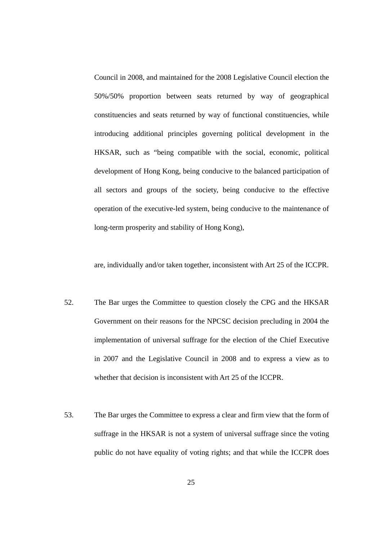Council in 2008, and maintained for the 2008 Legislative Council election the 50%/50% proportion between seats returned by way of geographical constituencies and seats returned by way of functional constituencies, while introducing additional principles governing political development in the HKSAR, such as "being compatible with the social, economic, political development of Hong Kong, being conducive to the balanced participation of all sectors and groups of the society, being conducive to the effective operation of the executive-led system, being conducive to the maintenance of long-term prosperity and stability of Hong Kong),

are, individually and/or taken together, inconsistent with Art 25 of the ICCPR.

- 52. The Bar urges the Committee to question closely the CPG and the HKSAR Government on their reasons for the NPCSC decision precluding in 2004 the implementation of universal suffrage for the election of the Chief Executive in 2007 and the Legislative Council in 2008 and to express a view as to whether that decision is inconsistent with Art 25 of the ICCPR.
- 53. The Bar urges the Committee to express a clear and firm view that the form of suffrage in the HKSAR is not a system of universal suffrage since the voting public do not have equality of voting rights; and that while the ICCPR does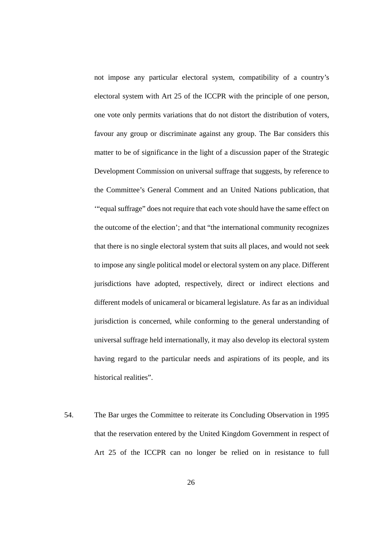not impose any particular electoral system, compatibility of a country's electoral system with Art 25 of the ICCPR with the principle of one person, one vote only permits variations that do not distort the distribution of voters, favour any group or discriminate against any group. The Bar considers this matter to be of significance in the light of a discussion paper of the Strategic Development Commission on universal suffrage that suggests, by reference to the Committee's General Comment and an United Nations publication, that '"equal suffrage" does not require that each vote should have the same effect on the outcome of the election'; and that "the international community recognizes that there is no single electoral system that suits all places, and would not seek to impose any single political model or electoral system on any place. Different jurisdictions have adopted, respectively, direct or indirect elections and different models of unicameral or bicameral legislature. As far as an individual jurisdiction is concerned, while conforming to the general understanding of universal suffrage held internationally, it may also develop its electoral system having regard to the particular needs and aspirations of its people, and its historical realities".

54. The Bar urges the Committee to reiterate its Concluding Observation in 1995 that the reservation entered by the United Kingdom Government in respect of Art 25 of the ICCPR can no longer be relied on in resistance to full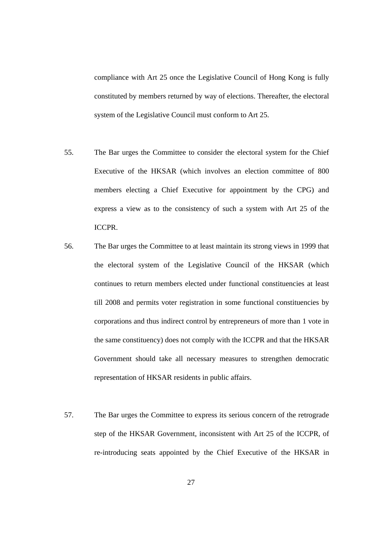compliance with Art 25 once the Legislative Council of Hong Kong is fully constituted by members returned by way of elections. Thereafter, the electoral system of the Legislative Council must conform to Art 25.

- 55. The Bar urges the Committee to consider the electoral system for the Chief Executive of the HKSAR (which involves an election committee of 800 members electing a Chief Executive for appointment by the CPG) and express a view as to the consistency of such a system with Art 25 of the ICCPR.
- 56. The Bar urges the Committee to at least maintain its strong views in 1999 that the electoral system of the Legislative Council of the HKSAR (which continues to return members elected under functional constituencies at least till 2008 and permits voter registration in some functional constituencies by corporations and thus indirect control by entrepreneurs of more than 1 vote in the same constituency) does not comply with the ICCPR and that the HKSAR Government should take all necessary measures to strengthen democratic representation of HKSAR residents in public affairs.
- 57. The Bar urges the Committee to express its serious concern of the retrograde step of the HKSAR Government, inconsistent with Art 25 of the ICCPR, of re-introducing seats appointed by the Chief Executive of the HKSAR in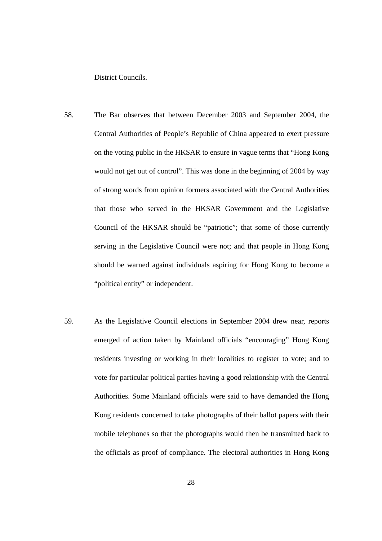District Councils.

- 58. The Bar observes that between December 2003 and September 2004, the Central Authorities of People's Republic of China appeared to exert pressure on the voting public in the HKSAR to ensure in vague terms that "Hong Kong would not get out of control". This was done in the beginning of 2004 by way of strong words from opinion formers associated with the Central Authorities that those who served in the HKSAR Government and the Legislative Council of the HKSAR should be "patriotic"; that some of those currently serving in the Legislative Council were not; and that people in Hong Kong should be warned against individuals aspiring for Hong Kong to become a "political entity" or independent.
- 59. As the Legislative Council elections in September 2004 drew near, reports emerged of action taken by Mainland officials "encouraging" Hong Kong residents investing or working in their localities to register to vote; and to vote for particular political parties having a good relationship with the Central Authorities. Some Mainland officials were said to have demanded the Hong Kong residents concerned to take photographs of their ballot papers with their mobile telephones so that the photographs would then be transmitted back to the officials as proof of compliance. The electoral authorities in Hong Kong